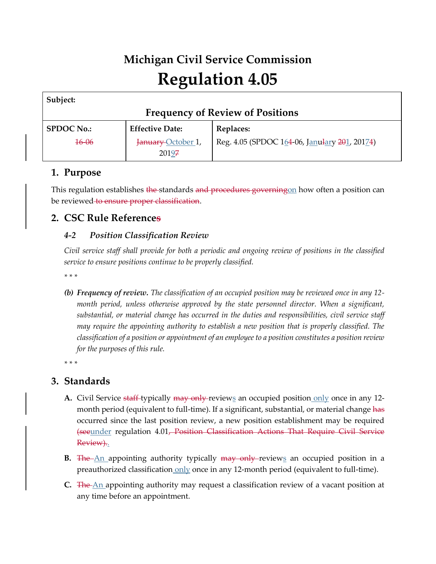# **Michigan Civil Service Commission Regulation 4.05**

| Subject:                                |                        |                                               |  |  |  |  |  |
|-----------------------------------------|------------------------|-----------------------------------------------|--|--|--|--|--|
| <b>Frequency of Review of Positions</b> |                        |                                               |  |  |  |  |  |
| <b>SPDOC No.:</b>                       | <b>Effective Date:</b> | Replaces:                                     |  |  |  |  |  |
| <del>16-06</del>                        | January October 1,     | Reg. 4.05 (SPDOC 164-06, Janulary 201, 20174) |  |  |  |  |  |
|                                         | 20197                  |                                               |  |  |  |  |  |

## **1. Purpose**

This regulation establishes <del>the s</del>tandards <del>and procedures governing</del>on how often a position can be reviewed to ensure proper classification.

### **2. CSC Rule References**

#### *4-2 Position Classification Review*

*Civil service staff shall provide for both a periodic and ongoing review of positions in the classified service to ensure positions continue to be properly classified.*

*\* \* \** 

*(b) Frequency of review. The classification of an occupied position may be reviewed once in any 12 month period, unless otherwise approved by the state personnel director. When a significant, substantial, or material change has occurred in the duties and responsibilities, civil service staff may require the appointing authority to establish a new position that is properly classified. The classification of a position or appointment of an employee to a position constitutes a position review for the purposes of this rule.*

*\* \* \** 

## **3. Standards**

- **A.** Civil Service <del>staff</del>-typically <del>may only r</del>eviews an occupied position only once in any 12month period (equivalent to full-time). If a significant, substantial, or material change has occurred since the last position review, a new position establishment may be required (seeunder regulation 4.01, Position Classification Actions That Require Civil Service Review)..
- **B.** The An appointing authority typically may only reviews an occupied position in a preauthorized classification only once in any 12-month period (equivalent to full-time).
- **C.** The An appointing authority may request a classification review of a vacant position at any time before an appointment.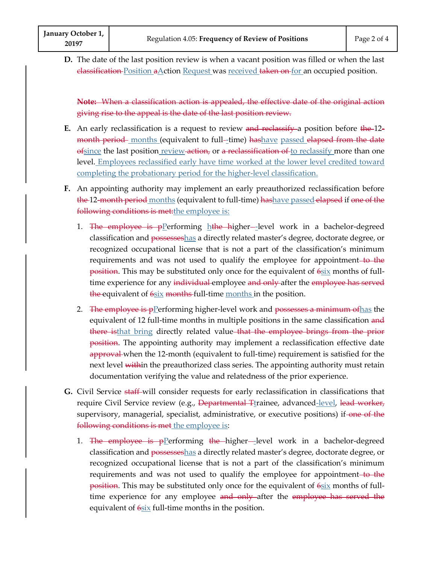**D.** The date of the last position review is when a vacant position was filled or when the last elassification Position aAction Request was received taken on for an occupied position.

**Note:** When a classification action is appealed, the effective date of the original action giving rise to the appeal is the date of the last position review.

- **E.** An early reclassification is a request to review and reclassify a position before the 12month period months (equivalent to full-time) hashave passed elapsed from the date of since the last position review action, or a reclassification of to reclassify more than one level. Employees reclassified early have time worked at the lower level credited toward completing the probationary period for the higher-level classification. en a vacant position was filled or when the last<br>
s <u>received taken on for</u> an occupied position.<br>
healed, the effective date of the original action<br>
ast position review.<br>
eview and reclassify a position before the 12-----
- **F.** An appointing authority may implement an early preauthorized reclassification before the 12-month period months (equivalent to full-time) hashave passed elapsed if one of the following conditions is met: the employee is:
	- 1. <del>The employee is p</del>Performing hthe higher—level work in a bachelor-degreed classification and possesseshas a directly related master's degree, doctorate degree, or recognized occupational license that is not a part of the classification's minimum requirements and was not used to qualify the employee for appointment to the position. This may be substituted only once for the equivalent of  $6six$  months of fulltime experience for any individual employee and only after the employee has served the equivalent of 6six months full-time <u>months i</u>n the position.
	- 2. The employee is pPerforming higher-level work and possesses a minimum of has the equivalent of 12 full-time months in multiple positions in the same classification and there isthat bring directly related value that the employee brings from the prior position. The appointing authority may implement a reclassification effective date approval when the 12-month (equivalent to full-time) requirement is satisfied for the next level within the preauthorized class series. The appointing authority must retain documentation verifying the value and relatedness of the prior experience.
- **G.** Civil Service staff will consider requests for early reclassification in classifications that require Civil Service review (e.g., Departmental Ttrainee, advanced-level, lead worker, supervisory, managerial, specialist, administrative, or executive positions) if-one of the following conditions is met the employee is:
	- 1. The employee is pPerforming the higher-level work in a bachelor-degreed classification and possesseshas a directly related master's degree, doctorate degree, or recognized occupational license that is not a part of the classification's minimum requirements and was not used to qualify the employee for appointment to the position. This may be substituted only once for the equivalent of  $6six$  months of fulltime experience for any employee and only after the employee has served the equivalent of  $6$ six full-time months in the position.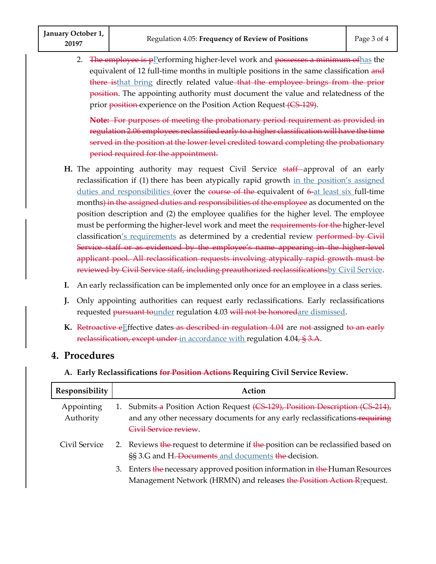2. The employee is pPerforming higher-level work and possesses a minimum of has the equivalent of 12 full-time months in multiple positions in the same classification and there isthat bring directly related value-that the employee brings from the prior position. The appointing authority must document the value and relatedness of the prior <del>position experience</del> on the Position Action Request (CS 129).

**Note:** For purposes of meeting the probationary period requirement as provided in regulation 2.06 employees reclassified early to a higher classification will have the time served in the position at the lower level credited toward completing the probationary period required for the appointment.

- **H.** The appointing authority may request Civil Service staff approval of an early reclassification if (1) there has been atypically rapid growth in the position's assigned duties and responsibilities (over the course of the equivalent of  $\frac{6}{10}$  at least six full-time months) in the assigned duties and responsibilities of the employee as documented on the position description and (2) the employee qualifies for the higher level. The employee must be performing the higher-level work and meet the requirements for the higher-level classification's requirements as determined by a credential review performed by Civil Service staff or as evidenced by the employee's name appearing in the higher-level applicant pool. All reclassification requests involving atypically rapid growth must be reviewed by Civil Service staff, including preauthorized reclassificationsby Civil Service.
- **I.** An early reclassification can be implemented only once for an employee in a class series.
- **J.** Only appointing authorities can request early reclassifications. Early reclassifications requested pursuant tounder regulation 4.03 will not be honoredare dismissed.
- K. Retroactive eEffective dates as described in regulation 4.04 are not assigned to an early <del>reclassification, except under <u>in accordance with</u> regulation 4.04<del>, § 3.A</del>.</del>

#### **4. Procedures**

**A. Early Reclassifications for Position Actions Requiring Civil Service Review.**

| Responsibility          | Action |                                                                                                                                                                                      |  |
|-------------------------|--------|--------------------------------------------------------------------------------------------------------------------------------------------------------------------------------------|--|
| Appointing<br>Authority |        | 1. Submits-a Position Action Request (CS 129), Position Description (CS 214),<br>and any other necessary documents for any early reclassifications requiring<br>Civil Service review |  |
| Civil Service           |        | 2. Reviews the request to determine if the position can be reclassified based on<br>§§ 3.G and H <del>. Documents</del> and documents the decision.                                  |  |
|                         | 3.     | Enters the necessary approved position information in the Human Resources<br>Management Network (HRMN) and releases the Position Action Rrequest.                                    |  |